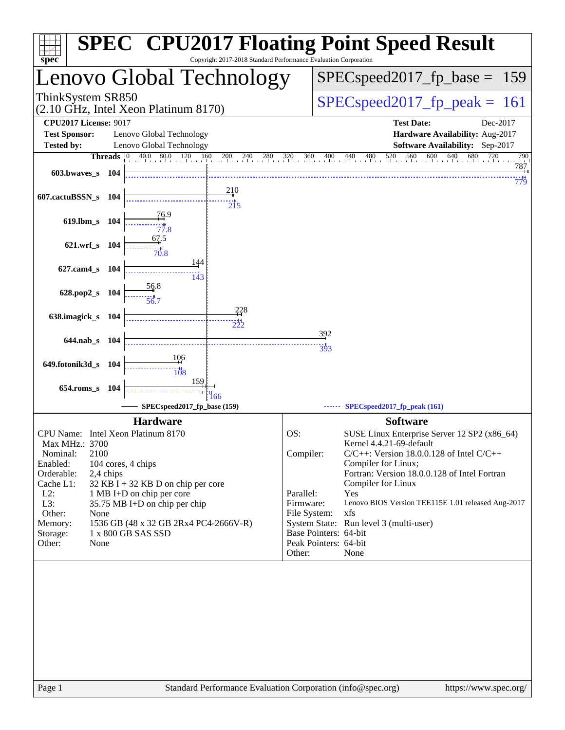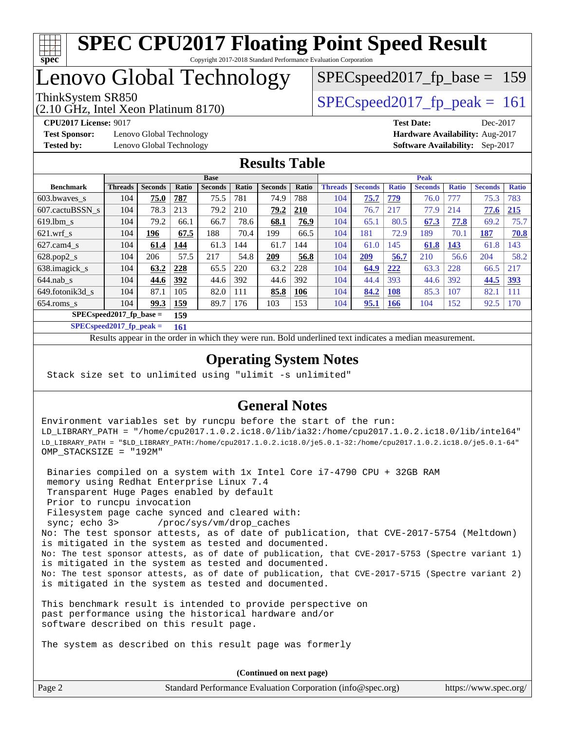

## Lenovo Global Technology

(2.10 GHz, Intel Xeon Platinum 8170)

ThinkSystem SR850<br>  $\angle Q$  10 CHz, Intel Year Platinum 8170)

SPECspeed2017 fp base =  $159$ 

**[Test Sponsor:](http://www.spec.org/auto/cpu2017/Docs/result-fields.html#TestSponsor)** Lenovo Global Technology **[Hardware Availability:](http://www.spec.org/auto/cpu2017/Docs/result-fields.html#HardwareAvailability)** Aug-2017 **[Tested by:](http://www.spec.org/auto/cpu2017/Docs/result-fields.html#Testedby)** Lenovo Global Technology **[Software Availability:](http://www.spec.org/auto/cpu2017/Docs/result-fields.html#SoftwareAvailability)** Sep-2017

**[CPU2017 License:](http://www.spec.org/auto/cpu2017/Docs/result-fields.html#CPU2017License)** 9017 **[Test Date:](http://www.spec.org/auto/cpu2017/Docs/result-fields.html#TestDate)** Dec-2017

#### **[Results Table](http://www.spec.org/auto/cpu2017/Docs/result-fields.html#ResultsTable)**

|                           | <b>Base</b>    |                |            |                | <b>Peak</b> |                |       |                |                |              |                |              |                |              |
|---------------------------|----------------|----------------|------------|----------------|-------------|----------------|-------|----------------|----------------|--------------|----------------|--------------|----------------|--------------|
| <b>Benchmark</b>          | <b>Threads</b> | <b>Seconds</b> | Ratio      | <b>Seconds</b> | Ratio       | <b>Seconds</b> | Ratio | <b>Threads</b> | <b>Seconds</b> | <b>Ratio</b> | <b>Seconds</b> | <b>Ratio</b> | <b>Seconds</b> | <b>Ratio</b> |
| 603.bwayes s              | 104            | 75.0           | 787        | 75.5           | 781         | 74.9           | 788   | 104            | 75.7           | 779          | 76.0           | 777          | 75.3           | 783          |
| 607.cactuBSSN s           | 104            | 78.3           | 213        | 79.2           | 210         | 79.2           | 210   | 104            | 76.7           | 217          | 77.9           | 214          | 77.6           | 215          |
| $619.1$ bm s              | 104            | 79.2           | 66.1       | 66.7           | 78.6        | 68.1           | 76.9  | 104            | 65.1           | 80.5         | 67.3           | 77.8         | 69.2           | 75.7         |
| $621$ .wrf s              | 104            | 196            | 67.5       | 188            | 70.4        | 199            | 66.5  | 104            | 181            | 72.9         | 189            | 70.1         | 187            | 70.8         |
| $627$ .cam4 s             | 104            | 61.4           | 144        | 61.3           | 144         | 61.7           | 144   | 104            | 61.0           | 145          | 61.8           | 143          | 61.8           | 143          |
| $628.pop2_s$              | 104            | 206            | 57.5       | 217            | 54.8        | 209            | 56.8  | 104            | 209            | 56.7         | 210            | 56.6         | 204            | 58.2         |
| 638.imagick_s             | 104            | 63.2           | 228        | 65.5           | 220         | 63.2           | 228   | 104            | 64.9           | 222          | 63.3           | 228          | 66.5           | 217          |
| $644$ .nab s              | 104            | 44.6           | 392        | 44.6           | 392         | 44.6           | 392   | 104            | 44.4           | 393          | 44.6           | 392          | 44.5           | 393          |
| 649.fotonik3d s           | 104            | 87.1           | 105        | 82.0           | 111         | 85.8           | 106   | 104            | 84.2           | 108          | 85.3           | 107          | 82.1           | 111          |
| $654$ .roms s             | 104            | 99.3           | <u>159</u> | 89.7           | 176         | 103            | 153   | 104            | 95.1           | <b>166</b>   | 104            | 152          | 92.5           | 170          |
| $SPECspeed2017$ fp base = | 159            |                |            |                |             |                |       |                |                |              |                |              |                |              |

**[SPECspeed2017\\_fp\\_peak =](http://www.spec.org/auto/cpu2017/Docs/result-fields.html#SPECspeed2017fppeak) 161**

Results appear in the [order in which they were run.](http://www.spec.org/auto/cpu2017/Docs/result-fields.html#RunOrder) Bold underlined text [indicates a median measurement](http://www.spec.org/auto/cpu2017/Docs/result-fields.html#Median).

### **[Operating System Notes](http://www.spec.org/auto/cpu2017/Docs/result-fields.html#OperatingSystemNotes)**

Stack size set to unlimited using "ulimit -s unlimited"

### **[General Notes](http://www.spec.org/auto/cpu2017/Docs/result-fields.html#GeneralNotes)**

Environment variables set by runcpu before the start of the run: LD\_LIBRARY\_PATH = "/home/cpu2017.1.0.2.ic18.0/lib/ia32:/home/cpu2017.1.0.2.ic18.0/lib/intel64" LD\_LIBRARY\_PATH = "\$LD\_LIBRARY\_PATH:/home/cpu2017.1.0.2.ic18.0/je5.0.1-32:/home/cpu2017.1.0.2.ic18.0/je5.0.1-64" OMP\_STACKSIZE = "192M"

 Binaries compiled on a system with 1x Intel Core i7-4790 CPU + 32GB RAM memory using Redhat Enterprise Linux 7.4 Transparent Huge Pages enabled by default Prior to runcpu invocation Filesystem page cache synced and cleared with: sync; echo 3> /proc/sys/vm/drop\_caches No: The test sponsor attests, as of date of publication, that CVE-2017-5754 (Meltdown) is mitigated in the system as tested and documented. No: The test sponsor attests, as of date of publication, that CVE-2017-5753 (Spectre variant 1) is mitigated in the system as tested and documented. No: The test sponsor attests, as of date of publication, that CVE-2017-5715 (Spectre variant 2) is mitigated in the system as tested and documented.

This benchmark result is intended to provide perspective on past performance using the historical hardware and/or software described on this result page.

The system as described on this result page was formerly

Page 2 Standard Performance Evaluation Corporation [\(info@spec.org\)](mailto:info@spec.org) <https://www.spec.org/> **(Continued on next page)**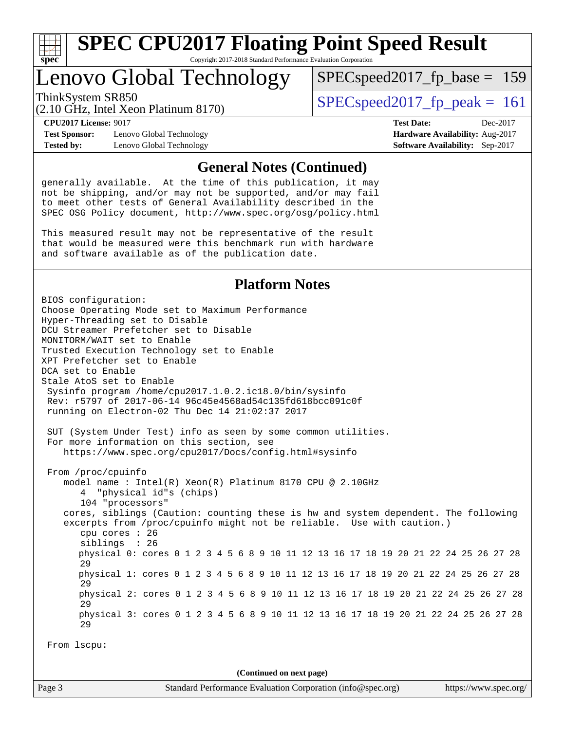

# **[SPEC CPU2017 Floating Point Speed Result](http://www.spec.org/auto/cpu2017/Docs/result-fields.html#SPECCPU2017FloatingPointSpeedResult)**

Copyright 2017-2018 Standard Performance Evaluation Corporation

## Lenovo Global Technology

ThinkSystem SR850<br>  $\angle Q$  10 CHz, Intel Year Platinum 8170)

SPECspeed2017 fp base =  $159$ 

(2.10 GHz, Intel Xeon Platinum 8170)

**[Test Sponsor:](http://www.spec.org/auto/cpu2017/Docs/result-fields.html#TestSponsor)** Lenovo Global Technology **[Hardware Availability:](http://www.spec.org/auto/cpu2017/Docs/result-fields.html#HardwareAvailability)** Aug-2017 **[Tested by:](http://www.spec.org/auto/cpu2017/Docs/result-fields.html#Testedby)** Lenovo Global Technology **[Software Availability:](http://www.spec.org/auto/cpu2017/Docs/result-fields.html#SoftwareAvailability)** Sep-2017

**[CPU2017 License:](http://www.spec.org/auto/cpu2017/Docs/result-fields.html#CPU2017License)** 9017 **[Test Date:](http://www.spec.org/auto/cpu2017/Docs/result-fields.html#TestDate)** Dec-2017

#### **[General Notes \(Continued\)](http://www.spec.org/auto/cpu2017/Docs/result-fields.html#GeneralNotes)**

generally available. At the time of this publication, it may not be shipping, and/or may not be supported, and/or may fail to meet other tests of General Availability described in the SPEC OSG Policy document, <http://www.spec.org/osg/policy.html>

This measured result may not be representative of the result that would be measured were this benchmark run with hardware and software available as of the publication date.

#### **[Platform Notes](http://www.spec.org/auto/cpu2017/Docs/result-fields.html#PlatformNotes)**

BIOS configuration: Choose Operating Mode set to Maximum Performance Hyper-Threading set to Disable DCU Streamer Prefetcher set to Disable MONITORM/WAIT set to Enable Trusted Execution Technology set to Enable XPT Prefetcher set to Enable DCA set to Enable Stale AtoS set to Enable Sysinfo program /home/cpu2017.1.0.2.ic18.0/bin/sysinfo Rev: r5797 of 2017-06-14 96c45e4568ad54c135fd618bcc091c0f running on Electron-02 Thu Dec 14 21:02:37 2017 SUT (System Under Test) info as seen by some common utilities. For more information on this section, see <https://www.spec.org/cpu2017/Docs/config.html#sysinfo> From /proc/cpuinfo model name : Intel(R) Xeon(R) Platinum 8170 CPU @ 2.10GHz 4 "physical id"s (chips) 104 "processors" cores, siblings (Caution: counting these is hw and system dependent. The following excerpts from /proc/cpuinfo might not be reliable. Use with caution.) cpu cores : 26 siblings : 26 physical 0: cores 0 1 2 3 4 5 6 8 9 10 11 12 13 16 17 18 19 20 21 22 24 25 26 27 28 29 physical 1: cores 0 1 2 3 4 5 6 8 9 10 11 12 13 16 17 18 19 20 21 22 24 25 26 27 28 29 physical 2: cores 0 1 2 3 4 5 6 8 9 10 11 12 13 16 17 18 19 20 21 22 24 25 26 27 28  $29$  physical 3: cores 0 1 2 3 4 5 6 8 9 10 11 12 13 16 17 18 19 20 21 22 24 25 26 27 28 29 From lscpu: **(Continued on next page)**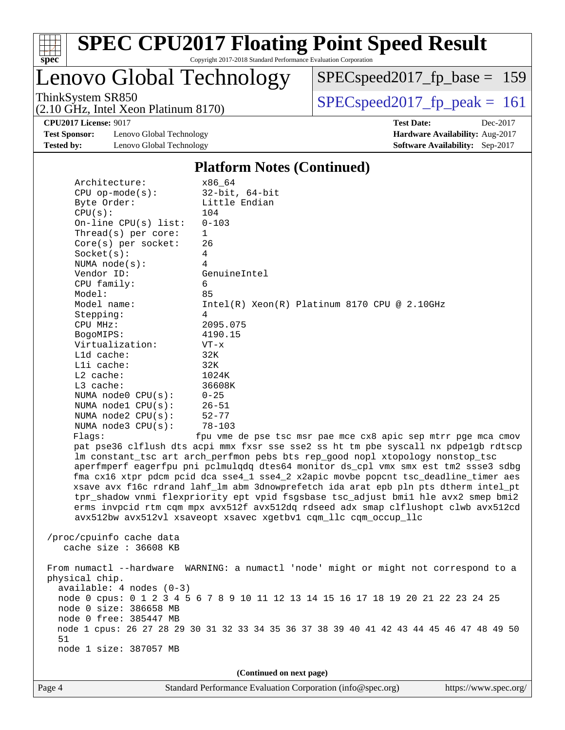

# **[SPEC CPU2017 Floating Point Speed Result](http://www.spec.org/auto/cpu2017/Docs/result-fields.html#SPECCPU2017FloatingPointSpeedResult)**

Copyright 2017-2018 Standard Performance Evaluation Corporation

Lenovo Global Technology

[SPECspeed2017\\_fp\\_base =](http://www.spec.org/auto/cpu2017/Docs/result-fields.html#SPECspeed2017fpbase) 159

(2.10 GHz, Intel Xeon Platinum 8170)

 $SPEC speed2017_fp\_peak = 161$ 

**[Test Sponsor:](http://www.spec.org/auto/cpu2017/Docs/result-fields.html#TestSponsor)** Lenovo Global Technology **[Hardware Availability:](http://www.spec.org/auto/cpu2017/Docs/result-fields.html#HardwareAvailability)** Aug-2017 **[Tested by:](http://www.spec.org/auto/cpu2017/Docs/result-fields.html#Testedby)** Lenovo Global Technology **[Software Availability:](http://www.spec.org/auto/cpu2017/Docs/result-fields.html#SoftwareAvailability)** Sep-2017

**[CPU2017 License:](http://www.spec.org/auto/cpu2017/Docs/result-fields.html#CPU2017License)** 9017 **[Test Date:](http://www.spec.org/auto/cpu2017/Docs/result-fields.html#TestDate)** Dec-2017

#### **[Platform Notes \(Continued\)](http://www.spec.org/auto/cpu2017/Docs/result-fields.html#PlatformNotes)**

|    | Architecture:                                     | x86 64                                                                                                                                                                                                                                                                                                                                                                                                                                                                                                                                                                                                                                                                                                                                                    |
|----|---------------------------------------------------|-----------------------------------------------------------------------------------------------------------------------------------------------------------------------------------------------------------------------------------------------------------------------------------------------------------------------------------------------------------------------------------------------------------------------------------------------------------------------------------------------------------------------------------------------------------------------------------------------------------------------------------------------------------------------------------------------------------------------------------------------------------|
|    | $CPU$ op-mode( $s$ ):                             | $32$ -bit, $64$ -bit                                                                                                                                                                                                                                                                                                                                                                                                                                                                                                                                                                                                                                                                                                                                      |
|    | Byte Order:                                       | Little Endian                                                                                                                                                                                                                                                                                                                                                                                                                                                                                                                                                                                                                                                                                                                                             |
|    | CPU(s):                                           | 104                                                                                                                                                                                                                                                                                                                                                                                                                                                                                                                                                                                                                                                                                                                                                       |
|    | On-line $CPU(s)$ list:                            | $0 - 103$                                                                                                                                                                                                                                                                                                                                                                                                                                                                                                                                                                                                                                                                                                                                                 |
|    | Thread( $s$ ) per core:                           | $\mathbf{1}$                                                                                                                                                                                                                                                                                                                                                                                                                                                                                                                                                                                                                                                                                                                                              |
|    | Core(s) per socket:                               | 26                                                                                                                                                                                                                                                                                                                                                                                                                                                                                                                                                                                                                                                                                                                                                        |
|    | Socket(s):                                        | 4                                                                                                                                                                                                                                                                                                                                                                                                                                                                                                                                                                                                                                                                                                                                                         |
|    | NUMA $node(s)$ :                                  | 4                                                                                                                                                                                                                                                                                                                                                                                                                                                                                                                                                                                                                                                                                                                                                         |
|    | Vendor ID:                                        | GenuineIntel                                                                                                                                                                                                                                                                                                                                                                                                                                                                                                                                                                                                                                                                                                                                              |
|    | CPU family:                                       | 6                                                                                                                                                                                                                                                                                                                                                                                                                                                                                                                                                                                                                                                                                                                                                         |
|    | Model:                                            | 85                                                                                                                                                                                                                                                                                                                                                                                                                                                                                                                                                                                                                                                                                                                                                        |
|    | Model name:                                       | $Intel(R)$ Xeon $(R)$ Platinum 8170 CPU @ 2.10GHz                                                                                                                                                                                                                                                                                                                                                                                                                                                                                                                                                                                                                                                                                                         |
|    | Stepping:                                         | 4                                                                                                                                                                                                                                                                                                                                                                                                                                                                                                                                                                                                                                                                                                                                                         |
|    | CPU MHz:                                          | 2095.075                                                                                                                                                                                                                                                                                                                                                                                                                                                                                                                                                                                                                                                                                                                                                  |
|    | BogoMIPS:                                         | 4190.15                                                                                                                                                                                                                                                                                                                                                                                                                                                                                                                                                                                                                                                                                                                                                   |
|    | Virtualization:                                   | $VT - x$                                                                                                                                                                                                                                                                                                                                                                                                                                                                                                                                                                                                                                                                                                                                                  |
|    | L1d cache:                                        | 32K                                                                                                                                                                                                                                                                                                                                                                                                                                                                                                                                                                                                                                                                                                                                                       |
|    | Lli cache:                                        | 32K                                                                                                                                                                                                                                                                                                                                                                                                                                                                                                                                                                                                                                                                                                                                                       |
|    | $L2$ cache:                                       | 1024K                                                                                                                                                                                                                                                                                                                                                                                                                                                                                                                                                                                                                                                                                                                                                     |
|    | L3 cache:                                         | 36608K                                                                                                                                                                                                                                                                                                                                                                                                                                                                                                                                                                                                                                                                                                                                                    |
|    | NUMA $node0$ $CPU(s)$ :                           | $0 - 25$                                                                                                                                                                                                                                                                                                                                                                                                                                                                                                                                                                                                                                                                                                                                                  |
|    | NUMA nodel CPU(s):                                | $26 - 51$                                                                                                                                                                                                                                                                                                                                                                                                                                                                                                                                                                                                                                                                                                                                                 |
|    | NUMA node2 CPU(s):                                | $52 - 77$                                                                                                                                                                                                                                                                                                                                                                                                                                                                                                                                                                                                                                                                                                                                                 |
|    | NUMA $node3$ CPU $(s)$ :                          | $78 - 103$                                                                                                                                                                                                                                                                                                                                                                                                                                                                                                                                                                                                                                                                                                                                                |
|    | Flaqs:                                            | fpu vme de pse tsc msr pae mce cx8 apic sep mtrr pqe mca cmov<br>pat pse36 clflush dts acpi mmx fxsr sse sse2 ss ht tm pbe syscall nx pdpe1gb rdtscp<br>lm constant_tsc art arch_perfmon pebs bts rep_good nopl xtopology nonstop_tsc<br>aperfmperf eagerfpu pni pclmulqdq dtes64 monitor ds_cpl vmx smx est tm2 ssse3 sdbg<br>fma cx16 xtpr pdcm pcid dca sse4_1 sse4_2 x2apic movbe popcnt tsc_deadline_timer aes<br>xsave avx f16c rdrand lahf_lm abm 3dnowprefetch ida arat epb pln pts dtherm intel_pt<br>tpr_shadow vnmi flexpriority ept vpid fsgsbase tsc_adjust bmil hle avx2 smep bmi2<br>erms invpcid rtm cqm mpx avx512f avx512dq rdseed adx smap clflushopt clwb avx512cd<br>avx512bw avx512vl xsaveopt xsavec xgetbvl cqm_llc cqm_occup_llc |
|    | /proc/cpuinfo cache data<br>cache size : 36608 KB |                                                                                                                                                                                                                                                                                                                                                                                                                                                                                                                                                                                                                                                                                                                                                           |
|    | physical chip.<br>$available: 4 nodes (0-3)$      | From numactl --hardware WARNING: a numactl 'node' might or might not correspond to a                                                                                                                                                                                                                                                                                                                                                                                                                                                                                                                                                                                                                                                                      |
|    | node 0 size: 386658 MB                            | node 0 cpus: 0 1 2 3 4 5 6 7 8 9 10 11 12 13 14 15 16 17 18 19 20 21 22 23 24 25                                                                                                                                                                                                                                                                                                                                                                                                                                                                                                                                                                                                                                                                          |
|    | node 0 free: 385447 MB                            |                                                                                                                                                                                                                                                                                                                                                                                                                                                                                                                                                                                                                                                                                                                                                           |
| 51 |                                                   | node 1 cpus: 26 27 28 29 30 31 32 33 34 35 36 37 38 39 40 41 42 43 44 45 46 47 48 49 50                                                                                                                                                                                                                                                                                                                                                                                                                                                                                                                                                                                                                                                                   |
|    | node 1 size: 387057 MB                            |                                                                                                                                                                                                                                                                                                                                                                                                                                                                                                                                                                                                                                                                                                                                                           |

**(Continued on next page)**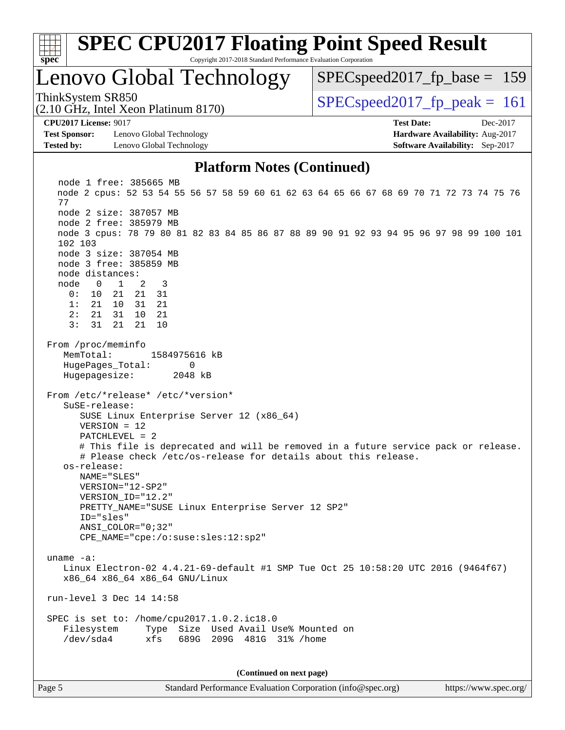

Page 5 Standard Performance Evaluation Corporation [\(info@spec.org\)](mailto:info@spec.org) <https://www.spec.org/>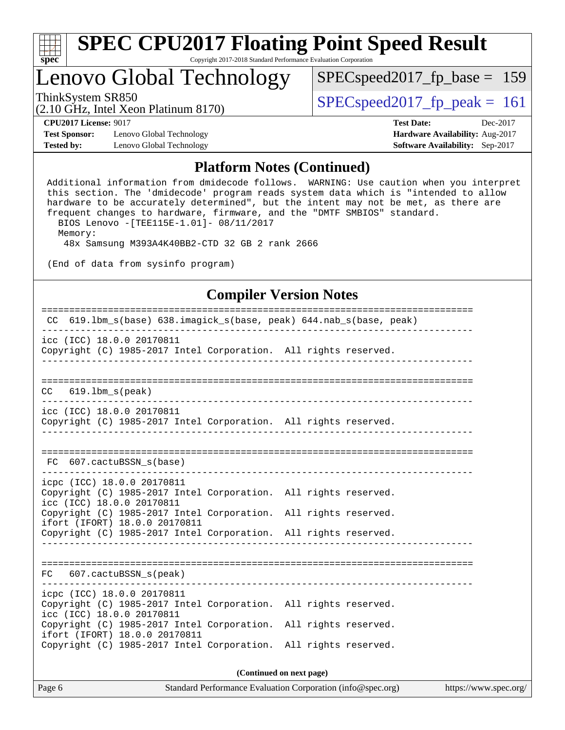

## Lenovo Global Technology

ThinkSystem SR850<br>  $(2.10 \text{ GHz. Intel Yoon Plutium } 8170)$   $\text{SPEC speed2017\_fp\_peak} = 161$ 

[SPECspeed2017\\_fp\\_base =](http://www.spec.org/auto/cpu2017/Docs/result-fields.html#SPECspeed2017fpbase) 159

(2.10 GHz, Intel Xeon Platinum 8170)

**[Test Sponsor:](http://www.spec.org/auto/cpu2017/Docs/result-fields.html#TestSponsor)** Lenovo Global Technology **[Hardware Availability:](http://www.spec.org/auto/cpu2017/Docs/result-fields.html#HardwareAvailability)** Aug-2017 **[Tested by:](http://www.spec.org/auto/cpu2017/Docs/result-fields.html#Testedby)** Lenovo Global Technology **[Software Availability:](http://www.spec.org/auto/cpu2017/Docs/result-fields.html#SoftwareAvailability)** Sep-2017

**[CPU2017 License:](http://www.spec.org/auto/cpu2017/Docs/result-fields.html#CPU2017License)** 9017 **[Test Date:](http://www.spec.org/auto/cpu2017/Docs/result-fields.html#TestDate)** Dec-2017

#### **[Platform Notes \(Continued\)](http://www.spec.org/auto/cpu2017/Docs/result-fields.html#PlatformNotes)**

 Additional information from dmidecode follows. WARNING: Use caution when you interpret this section. The 'dmidecode' program reads system data which is "intended to allow hardware to be accurately determined", but the intent may not be met, as there are frequent changes to hardware, firmware, and the "DMTF SMBIOS" standard. BIOS Lenovo -[TEE115E-1.01]- 08/11/2017 Memory: 48x Samsung M393A4K40BB2-CTD 32 GB 2 rank 2666

(End of data from sysinfo program)

#### **[Compiler Version Notes](http://www.spec.org/auto/cpu2017/Docs/result-fields.html#CompilerVersionNotes)**

| CC 619.1bm_s(base) 638.imagick_s(base, peak) 644.nab_s(base, peak)                                                         |
|----------------------------------------------------------------------------------------------------------------------------|
| icc (ICC) 18.0.0 20170811<br>Copyright (C) 1985-2017 Intel Corporation. All rights reserved.                               |
|                                                                                                                            |
| 619.1bm s(peak)<br>CC.                                                                                                     |
| icc (ICC) 18.0.0 20170811<br>Copyright (C) 1985-2017 Intel Corporation. All rights reserved.                               |
| FC 607.cactuBSSN s(base)                                                                                                   |
| icpc (ICC) 18.0.0 20170811<br>Copyright (C) 1985-2017 Intel Corporation. All rights reserved.<br>icc (ICC) 18.0.0 20170811 |
| Copyright (C) 1985-2017 Intel Corporation. All rights reserved.<br>ifort (IFORT) 18.0.0 20170811                           |
| Copyright (C) 1985-2017 Intel Corporation. All rights reserved.                                                            |
|                                                                                                                            |
| FC 607.cactuBSSN s(peak)                                                                                                   |
| icpc (ICC) 18.0.0 20170811<br>Copyright (C) 1985-2017 Intel Corporation. All rights reserved.<br>icc (ICC) 18.0.0 20170811 |
| Copyright (C) 1985-2017 Intel Corporation. All rights reserved.<br>ifort (IFORT) 18.0.0 20170811                           |
| Copyright (C) 1985-2017 Intel Corporation. All rights reserved.                                                            |

**(Continued on next page)**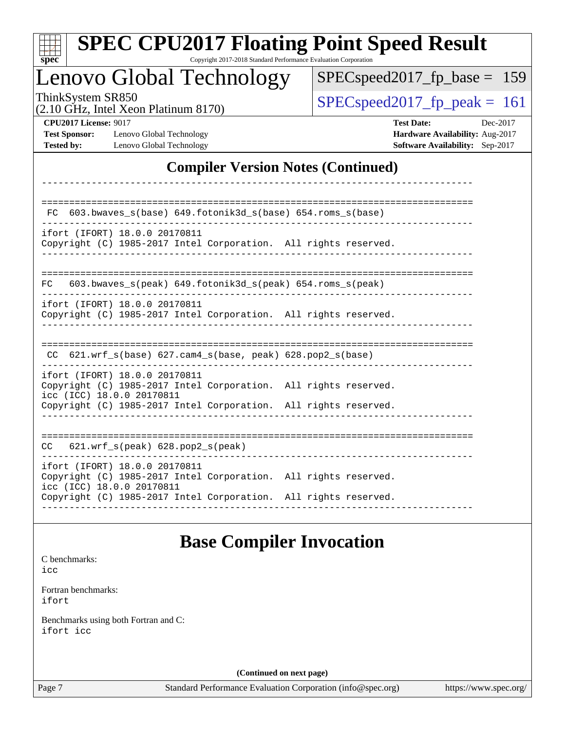|                                                                           |                                                            | Lenovo Global Technology                                        |  | $SPEC speed2017_fp\_base = 159$                                                         |          |  |
|---------------------------------------------------------------------------|------------------------------------------------------------|-----------------------------------------------------------------|--|-----------------------------------------------------------------------------------------|----------|--|
| ThinkSystem SR850                                                         | (2.10 GHz, Intel Xeon Platinum 8170)                       |                                                                 |  | $SPEC speed2017_fp\_peak = 161$                                                         |          |  |
| <b>CPU2017 License: 9017</b><br><b>Test Sponsor:</b><br><b>Tested by:</b> | Lenovo Global Technology<br>Lenovo Global Technology       |                                                                 |  | <b>Test Date:</b><br>Hardware Availability: Aug-2017<br>Software Availability: Sep-2017 | Dec-2017 |  |
|                                                                           |                                                            | <b>Compiler Version Notes (Continued)</b>                       |  |                                                                                         |          |  |
| FC.                                                                       |                                                            | 603.bwaves_s(base) 649.fotonik3d_s(base) 654.roms_s(base)       |  |                                                                                         |          |  |
|                                                                           | ifort (IFORT) 18.0.0 20170811                              | Copyright (C) 1985-2017 Intel Corporation. All rights reserved. |  |                                                                                         |          |  |
| FC.                                                                       |                                                            | 603.bwaves_s(peak) 649.fotonik3d_s(peak) 654.roms_s(peak)       |  |                                                                                         |          |  |
|                                                                           | ifort (IFORT) 18.0.0 20170811                              | Copyright (C) 1985-2017 Intel Corporation. All rights reserved. |  |                                                                                         |          |  |
|                                                                           |                                                            | CC 621.wrf_s(base) 627.cam4_s(base, peak) 628.pop2_s(base)      |  |                                                                                         |          |  |
|                                                                           | ifort (IFORT) 18.0.0 20170811<br>icc (ICC) 18.0.0 20170811 | Copyright (C) 1985-2017 Intel Corporation. All rights reserved. |  |                                                                                         |          |  |
|                                                                           |                                                            | Copyright (C) 1985-2017 Intel Corporation. All rights reserved. |  |                                                                                         |          |  |
| CC                                                                        | 621.wrf_s(peak) 628.pop2_s(peak)                           |                                                                 |  |                                                                                         |          |  |
|                                                                           | ifort (IFORT) 18.0.0 20170811<br>icc (ICC) 18.0.0 20170811 | Copyright (C) 1985-2017 Intel Corporation. All rights reserved. |  |                                                                                         |          |  |
|                                                                           |                                                            | Copyright (C) 1985-2017 Intel Corporation. All rights reserved. |  |                                                                                         |          |  |
|                                                                           |                                                            | <b>Base Compiler Invocation</b>                                 |  |                                                                                         |          |  |

[ifort](http://www.spec.org/cpu2017/results/res2018q1/cpu2017-20180122-03052.flags.html#user_FCbase_intel_ifort_18.0_8111460550e3ca792625aed983ce982f94888b8b503583aa7ba2b8303487b4d8a21a13e7191a45c5fd58ff318f48f9492884d4413fa793fd88dd292cad7027ca)

[Benchmarks using both Fortran and C](http://www.spec.org/auto/cpu2017/Docs/result-fields.html#BenchmarksusingbothFortranandC): [ifort](http://www.spec.org/cpu2017/results/res2018q1/cpu2017-20180122-03052.flags.html#user_CC_FCbase_intel_ifort_18.0_8111460550e3ca792625aed983ce982f94888b8b503583aa7ba2b8303487b4d8a21a13e7191a45c5fd58ff318f48f9492884d4413fa793fd88dd292cad7027ca) [icc](http://www.spec.org/cpu2017/results/res2018q1/cpu2017-20180122-03052.flags.html#user_CC_FCbase_intel_icc_18.0_66fc1ee009f7361af1fbd72ca7dcefbb700085f36577c54f309893dd4ec40d12360134090235512931783d35fd58c0460139e722d5067c5574d8eaf2b3e37e92)

**(Continued on next page)**

Page 7 Standard Performance Evaluation Corporation [\(info@spec.org\)](mailto:info@spec.org) <https://www.spec.org/>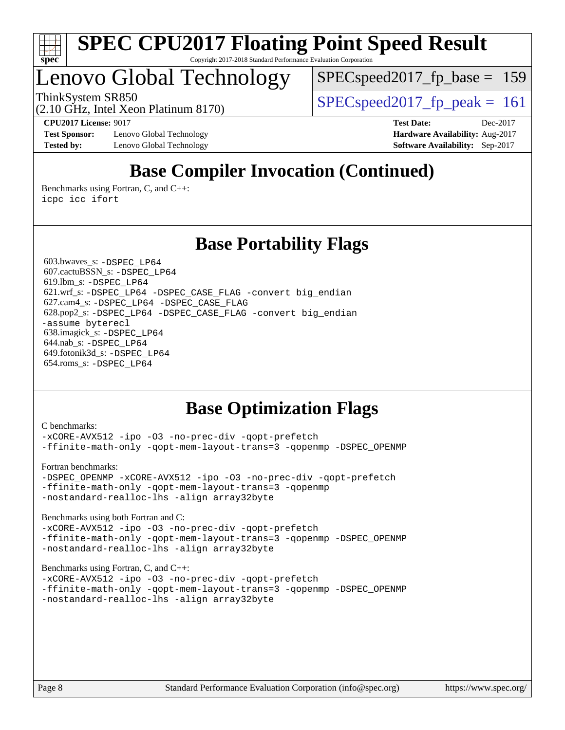

## Lenovo Global Technology

SPECspeed2017 fp base  $= 159$ 

ThinkSystem SR850<br>  $SPEC speed2017$  fp\_peak = 161

(2.10 GHz, Intel Xeon Platinum 8170)

**[Test Sponsor:](http://www.spec.org/auto/cpu2017/Docs/result-fields.html#TestSponsor)** Lenovo Global Technology **[Hardware Availability:](http://www.spec.org/auto/cpu2017/Docs/result-fields.html#HardwareAvailability)** Aug-2017 **[Tested by:](http://www.spec.org/auto/cpu2017/Docs/result-fields.html#Testedby)** Lenovo Global Technology **[Software Availability:](http://www.spec.org/auto/cpu2017/Docs/result-fields.html#SoftwareAvailability)** Sep-2017

**[CPU2017 License:](http://www.spec.org/auto/cpu2017/Docs/result-fields.html#CPU2017License)** 9017 **[Test Date:](http://www.spec.org/auto/cpu2017/Docs/result-fields.html#TestDate)** Dec-2017

## **[Base Compiler Invocation \(Continued\)](http://www.spec.org/auto/cpu2017/Docs/result-fields.html#BaseCompilerInvocation)**

[Benchmarks using Fortran, C, and C++:](http://www.spec.org/auto/cpu2017/Docs/result-fields.html#BenchmarksusingFortranCandCXX) [icpc](http://www.spec.org/cpu2017/results/res2018q1/cpu2017-20180122-03052.flags.html#user_CC_CXX_FCbase_intel_icpc_18.0_c510b6838c7f56d33e37e94d029a35b4a7bccf4766a728ee175e80a419847e808290a9b78be685c44ab727ea267ec2f070ec5dc83b407c0218cded6866a35d07) [icc](http://www.spec.org/cpu2017/results/res2018q1/cpu2017-20180122-03052.flags.html#user_CC_CXX_FCbase_intel_icc_18.0_66fc1ee009f7361af1fbd72ca7dcefbb700085f36577c54f309893dd4ec40d12360134090235512931783d35fd58c0460139e722d5067c5574d8eaf2b3e37e92) [ifort](http://www.spec.org/cpu2017/results/res2018q1/cpu2017-20180122-03052.flags.html#user_CC_CXX_FCbase_intel_ifort_18.0_8111460550e3ca792625aed983ce982f94888b8b503583aa7ba2b8303487b4d8a21a13e7191a45c5fd58ff318f48f9492884d4413fa793fd88dd292cad7027ca)

### **[Base Portability Flags](http://www.spec.org/auto/cpu2017/Docs/result-fields.html#BasePortabilityFlags)**

 603.bwaves\_s: [-DSPEC\\_LP64](http://www.spec.org/cpu2017/results/res2018q1/cpu2017-20180122-03052.flags.html#suite_basePORTABILITY603_bwaves_s_DSPEC_LP64) 607.cactuBSSN\_s: [-DSPEC\\_LP64](http://www.spec.org/cpu2017/results/res2018q1/cpu2017-20180122-03052.flags.html#suite_basePORTABILITY607_cactuBSSN_s_DSPEC_LP64) 619.lbm\_s: [-DSPEC\\_LP64](http://www.spec.org/cpu2017/results/res2018q1/cpu2017-20180122-03052.flags.html#suite_basePORTABILITY619_lbm_s_DSPEC_LP64) 621.wrf\_s: [-DSPEC\\_LP64](http://www.spec.org/cpu2017/results/res2018q1/cpu2017-20180122-03052.flags.html#suite_basePORTABILITY621_wrf_s_DSPEC_LP64) [-DSPEC\\_CASE\\_FLAG](http://www.spec.org/cpu2017/results/res2018q1/cpu2017-20180122-03052.flags.html#b621.wrf_s_baseCPORTABILITY_DSPEC_CASE_FLAG) [-convert big\\_endian](http://www.spec.org/cpu2017/results/res2018q1/cpu2017-20180122-03052.flags.html#user_baseFPORTABILITY621_wrf_s_convert_big_endian_c3194028bc08c63ac5d04de18c48ce6d347e4e562e8892b8bdbdc0214820426deb8554edfa529a3fb25a586e65a3d812c835984020483e7e73212c4d31a38223) 627.cam4\_s: [-DSPEC\\_LP64](http://www.spec.org/cpu2017/results/res2018q1/cpu2017-20180122-03052.flags.html#suite_basePORTABILITY627_cam4_s_DSPEC_LP64) [-DSPEC\\_CASE\\_FLAG](http://www.spec.org/cpu2017/results/res2018q1/cpu2017-20180122-03052.flags.html#b627.cam4_s_baseCPORTABILITY_DSPEC_CASE_FLAG) 628.pop2\_s: [-DSPEC\\_LP64](http://www.spec.org/cpu2017/results/res2018q1/cpu2017-20180122-03052.flags.html#suite_basePORTABILITY628_pop2_s_DSPEC_LP64) [-DSPEC\\_CASE\\_FLAG](http://www.spec.org/cpu2017/results/res2018q1/cpu2017-20180122-03052.flags.html#b628.pop2_s_baseCPORTABILITY_DSPEC_CASE_FLAG) [-convert big\\_endian](http://www.spec.org/cpu2017/results/res2018q1/cpu2017-20180122-03052.flags.html#user_baseFPORTABILITY628_pop2_s_convert_big_endian_c3194028bc08c63ac5d04de18c48ce6d347e4e562e8892b8bdbdc0214820426deb8554edfa529a3fb25a586e65a3d812c835984020483e7e73212c4d31a38223) [-assume byterecl](http://www.spec.org/cpu2017/results/res2018q1/cpu2017-20180122-03052.flags.html#user_baseFPORTABILITY628_pop2_s_assume_byterecl_7e47d18b9513cf18525430bbf0f2177aa9bf368bc7a059c09b2c06a34b53bd3447c950d3f8d6c70e3faf3a05c8557d66a5798b567902e8849adc142926523472) 638.imagick\_s: [-DSPEC\\_LP64](http://www.spec.org/cpu2017/results/res2018q1/cpu2017-20180122-03052.flags.html#suite_basePORTABILITY638_imagick_s_DSPEC_LP64) 644.nab\_s: [-DSPEC\\_LP64](http://www.spec.org/cpu2017/results/res2018q1/cpu2017-20180122-03052.flags.html#suite_basePORTABILITY644_nab_s_DSPEC_LP64) 649.fotonik3d\_s: [-DSPEC\\_LP64](http://www.spec.org/cpu2017/results/res2018q1/cpu2017-20180122-03052.flags.html#suite_basePORTABILITY649_fotonik3d_s_DSPEC_LP64) 654.roms\_s: [-DSPEC\\_LP64](http://www.spec.org/cpu2017/results/res2018q1/cpu2017-20180122-03052.flags.html#suite_basePORTABILITY654_roms_s_DSPEC_LP64)

## **[Base Optimization Flags](http://www.spec.org/auto/cpu2017/Docs/result-fields.html#BaseOptimizationFlags)**

[C benchmarks](http://www.spec.org/auto/cpu2017/Docs/result-fields.html#Cbenchmarks): [-xCORE-AVX512](http://www.spec.org/cpu2017/results/res2018q1/cpu2017-20180122-03052.flags.html#user_CCbase_f-xCORE-AVX512) [-ipo](http://www.spec.org/cpu2017/results/res2018q1/cpu2017-20180122-03052.flags.html#user_CCbase_f-ipo) [-O3](http://www.spec.org/cpu2017/results/res2018q1/cpu2017-20180122-03052.flags.html#user_CCbase_f-O3) [-no-prec-div](http://www.spec.org/cpu2017/results/res2018q1/cpu2017-20180122-03052.flags.html#user_CCbase_f-no-prec-div) [-qopt-prefetch](http://www.spec.org/cpu2017/results/res2018q1/cpu2017-20180122-03052.flags.html#user_CCbase_f-qopt-prefetch) [-ffinite-math-only](http://www.spec.org/cpu2017/results/res2018q1/cpu2017-20180122-03052.flags.html#user_CCbase_f_finite_math_only_cb91587bd2077682c4b38af759c288ed7c732db004271a9512da14a4f8007909a5f1427ecbf1a0fb78ff2a814402c6114ac565ca162485bbcae155b5e4258871) [-qopt-mem-layout-trans=3](http://www.spec.org/cpu2017/results/res2018q1/cpu2017-20180122-03052.flags.html#user_CCbase_f-qopt-mem-layout-trans_de80db37974c74b1f0e20d883f0b675c88c3b01e9d123adea9b28688d64333345fb62bc4a798493513fdb68f60282f9a726aa07f478b2f7113531aecce732043) [-qopenmp](http://www.spec.org/cpu2017/results/res2018q1/cpu2017-20180122-03052.flags.html#user_CCbase_qopenmp_16be0c44f24f464004c6784a7acb94aca937f053568ce72f94b139a11c7c168634a55f6653758ddd83bcf7b8463e8028bb0b48b77bcddc6b78d5d95bb1df2967) [-DSPEC\\_OPENMP](http://www.spec.org/cpu2017/results/res2018q1/cpu2017-20180122-03052.flags.html#suite_CCbase_DSPEC_OPENMP)

[Fortran benchmarks](http://www.spec.org/auto/cpu2017/Docs/result-fields.html#Fortranbenchmarks):

[-DSPEC\\_OPENMP](http://www.spec.org/cpu2017/results/res2018q1/cpu2017-20180122-03052.flags.html#suite_FCbase_DSPEC_OPENMP) [-xCORE-AVX512](http://www.spec.org/cpu2017/results/res2018q1/cpu2017-20180122-03052.flags.html#user_FCbase_f-xCORE-AVX512) [-ipo](http://www.spec.org/cpu2017/results/res2018q1/cpu2017-20180122-03052.flags.html#user_FCbase_f-ipo) [-O3](http://www.spec.org/cpu2017/results/res2018q1/cpu2017-20180122-03052.flags.html#user_FCbase_f-O3) [-no-prec-div](http://www.spec.org/cpu2017/results/res2018q1/cpu2017-20180122-03052.flags.html#user_FCbase_f-no-prec-div) [-qopt-prefetch](http://www.spec.org/cpu2017/results/res2018q1/cpu2017-20180122-03052.flags.html#user_FCbase_f-qopt-prefetch) [-ffinite-math-only](http://www.spec.org/cpu2017/results/res2018q1/cpu2017-20180122-03052.flags.html#user_FCbase_f_finite_math_only_cb91587bd2077682c4b38af759c288ed7c732db004271a9512da14a4f8007909a5f1427ecbf1a0fb78ff2a814402c6114ac565ca162485bbcae155b5e4258871) [-qopt-mem-layout-trans=3](http://www.spec.org/cpu2017/results/res2018q1/cpu2017-20180122-03052.flags.html#user_FCbase_f-qopt-mem-layout-trans_de80db37974c74b1f0e20d883f0b675c88c3b01e9d123adea9b28688d64333345fb62bc4a798493513fdb68f60282f9a726aa07f478b2f7113531aecce732043) [-qopenmp](http://www.spec.org/cpu2017/results/res2018q1/cpu2017-20180122-03052.flags.html#user_FCbase_qopenmp_16be0c44f24f464004c6784a7acb94aca937f053568ce72f94b139a11c7c168634a55f6653758ddd83bcf7b8463e8028bb0b48b77bcddc6b78d5d95bb1df2967) [-nostandard-realloc-lhs](http://www.spec.org/cpu2017/results/res2018q1/cpu2017-20180122-03052.flags.html#user_FCbase_f_2003_std_realloc_82b4557e90729c0f113870c07e44d33d6f5a304b4f63d4c15d2d0f1fab99f5daaed73bdb9275d9ae411527f28b936061aa8b9c8f2d63842963b95c9dd6426b8a) [-align array32byte](http://www.spec.org/cpu2017/results/res2018q1/cpu2017-20180122-03052.flags.html#user_FCbase_align_array32byte_b982fe038af199962ba9a80c053b8342c548c85b40b8e86eb3cc33dee0d7986a4af373ac2d51c3f7cf710a18d62fdce2948f201cd044323541f22fc0fffc51b6)

[Benchmarks using both Fortran and C](http://www.spec.org/auto/cpu2017/Docs/result-fields.html#BenchmarksusingbothFortranandC): [-xCORE-AVX512](http://www.spec.org/cpu2017/results/res2018q1/cpu2017-20180122-03052.flags.html#user_CC_FCbase_f-xCORE-AVX512) [-ipo](http://www.spec.org/cpu2017/results/res2018q1/cpu2017-20180122-03052.flags.html#user_CC_FCbase_f-ipo) [-O3](http://www.spec.org/cpu2017/results/res2018q1/cpu2017-20180122-03052.flags.html#user_CC_FCbase_f-O3) [-no-prec-div](http://www.spec.org/cpu2017/results/res2018q1/cpu2017-20180122-03052.flags.html#user_CC_FCbase_f-no-prec-div) [-qopt-prefetch](http://www.spec.org/cpu2017/results/res2018q1/cpu2017-20180122-03052.flags.html#user_CC_FCbase_f-qopt-prefetch) [-ffinite-math-only](http://www.spec.org/cpu2017/results/res2018q1/cpu2017-20180122-03052.flags.html#user_CC_FCbase_f_finite_math_only_cb91587bd2077682c4b38af759c288ed7c732db004271a9512da14a4f8007909a5f1427ecbf1a0fb78ff2a814402c6114ac565ca162485bbcae155b5e4258871) [-qopt-mem-layout-trans=3](http://www.spec.org/cpu2017/results/res2018q1/cpu2017-20180122-03052.flags.html#user_CC_FCbase_f-qopt-mem-layout-trans_de80db37974c74b1f0e20d883f0b675c88c3b01e9d123adea9b28688d64333345fb62bc4a798493513fdb68f60282f9a726aa07f478b2f7113531aecce732043) [-qopenmp](http://www.spec.org/cpu2017/results/res2018q1/cpu2017-20180122-03052.flags.html#user_CC_FCbase_qopenmp_16be0c44f24f464004c6784a7acb94aca937f053568ce72f94b139a11c7c168634a55f6653758ddd83bcf7b8463e8028bb0b48b77bcddc6b78d5d95bb1df2967) [-DSPEC\\_OPENMP](http://www.spec.org/cpu2017/results/res2018q1/cpu2017-20180122-03052.flags.html#suite_CC_FCbase_DSPEC_OPENMP) [-nostandard-realloc-lhs](http://www.spec.org/cpu2017/results/res2018q1/cpu2017-20180122-03052.flags.html#user_CC_FCbase_f_2003_std_realloc_82b4557e90729c0f113870c07e44d33d6f5a304b4f63d4c15d2d0f1fab99f5daaed73bdb9275d9ae411527f28b936061aa8b9c8f2d63842963b95c9dd6426b8a) [-align array32byte](http://www.spec.org/cpu2017/results/res2018q1/cpu2017-20180122-03052.flags.html#user_CC_FCbase_align_array32byte_b982fe038af199962ba9a80c053b8342c548c85b40b8e86eb3cc33dee0d7986a4af373ac2d51c3f7cf710a18d62fdce2948f201cd044323541f22fc0fffc51b6)

[Benchmarks using Fortran, C, and C++:](http://www.spec.org/auto/cpu2017/Docs/result-fields.html#BenchmarksusingFortranCandCXX)

```
-xCORE-AVX512 -ipo -O3 -no-prec-div -qopt-prefetch
-ffinite-math-only -qopt-mem-layout-trans=3 -qopenmp -DSPEC_OPENMP
-nostandard-realloc-lhs -align array32byte
```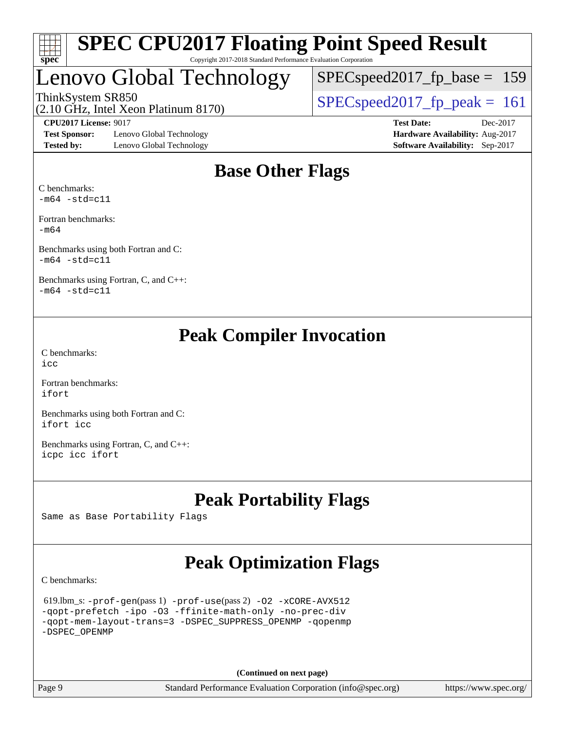

## Lenovo Global Technology

ThinkSystem SR850<br>(2.10 GHz, Intel Year Platinum 8170)  $\text{SPEC speed2017\_fp\_peak} = 161$ [SPECspeed2017\\_fp\\_base =](http://www.spec.org/auto/cpu2017/Docs/result-fields.html#SPECspeed2017fpbase) 159

(2.10 GHz, Intel Xeon Platinum 8170)

**[Test Sponsor:](http://www.spec.org/auto/cpu2017/Docs/result-fields.html#TestSponsor)** Lenovo Global Technology **[Hardware Availability:](http://www.spec.org/auto/cpu2017/Docs/result-fields.html#HardwareAvailability)** Aug-2017 **[Tested by:](http://www.spec.org/auto/cpu2017/Docs/result-fields.html#Testedby)** Lenovo Global Technology **[Software Availability:](http://www.spec.org/auto/cpu2017/Docs/result-fields.html#SoftwareAvailability)** Sep-2017

**[CPU2017 License:](http://www.spec.org/auto/cpu2017/Docs/result-fields.html#CPU2017License)** 9017 **[Test Date:](http://www.spec.org/auto/cpu2017/Docs/result-fields.html#TestDate)** Dec-2017

## **[Base Other Flags](http://www.spec.org/auto/cpu2017/Docs/result-fields.html#BaseOtherFlags)**

[C benchmarks](http://www.spec.org/auto/cpu2017/Docs/result-fields.html#Cbenchmarks):  $-m64$   $-std=cl1$ 

[Fortran benchmarks](http://www.spec.org/auto/cpu2017/Docs/result-fields.html#Fortranbenchmarks): [-m64](http://www.spec.org/cpu2017/results/res2018q1/cpu2017-20180122-03052.flags.html#user_FCbase_intel_intel64_18.0_af43caccfc8ded86e7699f2159af6efc7655f51387b94da716254467f3c01020a5059329e2569e4053f409e7c9202a7efc638f7a6d1ffb3f52dea4a3e31d82ab)

[Benchmarks using both Fortran and C](http://www.spec.org/auto/cpu2017/Docs/result-fields.html#BenchmarksusingbothFortranandC):  $-m64$   $-std=cl1$ 

[Benchmarks using Fortran, C, and C++:](http://www.spec.org/auto/cpu2017/Docs/result-fields.html#BenchmarksusingFortranCandCXX)  $-m64 - std= c11$  $-m64 - std= c11$ 

## **[Peak Compiler Invocation](http://www.spec.org/auto/cpu2017/Docs/result-fields.html#PeakCompilerInvocation)**

[C benchmarks](http://www.spec.org/auto/cpu2017/Docs/result-fields.html#Cbenchmarks):  $inc$ 

[Fortran benchmarks](http://www.spec.org/auto/cpu2017/Docs/result-fields.html#Fortranbenchmarks): [ifort](http://www.spec.org/cpu2017/results/res2018q1/cpu2017-20180122-03052.flags.html#user_FCpeak_intel_ifort_18.0_8111460550e3ca792625aed983ce982f94888b8b503583aa7ba2b8303487b4d8a21a13e7191a45c5fd58ff318f48f9492884d4413fa793fd88dd292cad7027ca)

[Benchmarks using both Fortran and C](http://www.spec.org/auto/cpu2017/Docs/result-fields.html#BenchmarksusingbothFortranandC): [ifort](http://www.spec.org/cpu2017/results/res2018q1/cpu2017-20180122-03052.flags.html#user_CC_FCpeak_intel_ifort_18.0_8111460550e3ca792625aed983ce982f94888b8b503583aa7ba2b8303487b4d8a21a13e7191a45c5fd58ff318f48f9492884d4413fa793fd88dd292cad7027ca) [icc](http://www.spec.org/cpu2017/results/res2018q1/cpu2017-20180122-03052.flags.html#user_CC_FCpeak_intel_icc_18.0_66fc1ee009f7361af1fbd72ca7dcefbb700085f36577c54f309893dd4ec40d12360134090235512931783d35fd58c0460139e722d5067c5574d8eaf2b3e37e92)

[Benchmarks using Fortran, C, and C++:](http://www.spec.org/auto/cpu2017/Docs/result-fields.html#BenchmarksusingFortranCandCXX) [icpc](http://www.spec.org/cpu2017/results/res2018q1/cpu2017-20180122-03052.flags.html#user_CC_CXX_FCpeak_intel_icpc_18.0_c510b6838c7f56d33e37e94d029a35b4a7bccf4766a728ee175e80a419847e808290a9b78be685c44ab727ea267ec2f070ec5dc83b407c0218cded6866a35d07) [icc](http://www.spec.org/cpu2017/results/res2018q1/cpu2017-20180122-03052.flags.html#user_CC_CXX_FCpeak_intel_icc_18.0_66fc1ee009f7361af1fbd72ca7dcefbb700085f36577c54f309893dd4ec40d12360134090235512931783d35fd58c0460139e722d5067c5574d8eaf2b3e37e92) [ifort](http://www.spec.org/cpu2017/results/res2018q1/cpu2017-20180122-03052.flags.html#user_CC_CXX_FCpeak_intel_ifort_18.0_8111460550e3ca792625aed983ce982f94888b8b503583aa7ba2b8303487b4d8a21a13e7191a45c5fd58ff318f48f9492884d4413fa793fd88dd292cad7027ca)

## **[Peak Portability Flags](http://www.spec.org/auto/cpu2017/Docs/result-fields.html#PeakPortabilityFlags)**

Same as Base Portability Flags

## **[Peak Optimization Flags](http://www.spec.org/auto/cpu2017/Docs/result-fields.html#PeakOptimizationFlags)**

[C benchmarks](http://www.spec.org/auto/cpu2017/Docs/result-fields.html#Cbenchmarks):

```
 619.lbm_s: -prof-gen(pass 1) -prof-use(pass 2) -O2 -xCORE-AVX512
-qopt-prefetch -ipo -O3 -ffinite-math-only -no-prec-div
-qopt-mem-layout-trans=3 -DSPEC_SUPPRESS_OPENMP -qopenmp
-DSPEC_OPENMP
```
**(Continued on next page)**

Page 9 Standard Performance Evaluation Corporation [\(info@spec.org\)](mailto:info@spec.org) <https://www.spec.org/>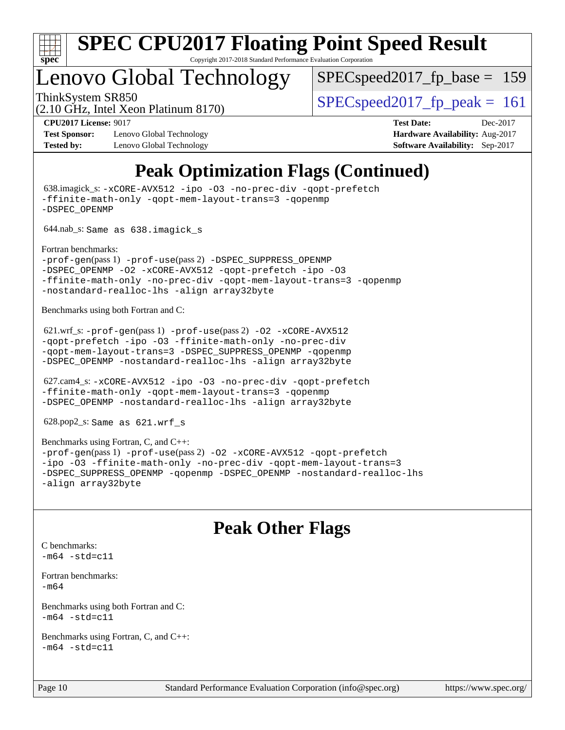

## Lenovo Global Technology

SPECspeed2017 fp base  $= 159$ 

(2.10 GHz, Intel Xeon Platinum 8170)

ThinkSystem SR850<br>  $\angle Q$  10 CHz, Intel Year Platinum 8170)

**[Test Sponsor:](http://www.spec.org/auto/cpu2017/Docs/result-fields.html#TestSponsor)** Lenovo Global Technology **[Hardware Availability:](http://www.spec.org/auto/cpu2017/Docs/result-fields.html#HardwareAvailability)** Aug-2017 **[Tested by:](http://www.spec.org/auto/cpu2017/Docs/result-fields.html#Testedby)** Lenovo Global Technology **[Software Availability:](http://www.spec.org/auto/cpu2017/Docs/result-fields.html#SoftwareAvailability)** Sep-2017

**[CPU2017 License:](http://www.spec.org/auto/cpu2017/Docs/result-fields.html#CPU2017License)** 9017 **[Test Date:](http://www.spec.org/auto/cpu2017/Docs/result-fields.html#TestDate)** Dec-2017

## **[Peak Optimization Flags \(Continued\)](http://www.spec.org/auto/cpu2017/Docs/result-fields.html#PeakOptimizationFlags)**

 638.imagick\_s: [-xCORE-AVX512](http://www.spec.org/cpu2017/results/res2018q1/cpu2017-20180122-03052.flags.html#user_peakCOPTIMIZE638_imagick_s_f-xCORE-AVX512) [-ipo](http://www.spec.org/cpu2017/results/res2018q1/cpu2017-20180122-03052.flags.html#user_peakCOPTIMIZE638_imagick_s_f-ipo) [-O3](http://www.spec.org/cpu2017/results/res2018q1/cpu2017-20180122-03052.flags.html#user_peakCOPTIMIZE638_imagick_s_f-O3) [-no-prec-div](http://www.spec.org/cpu2017/results/res2018q1/cpu2017-20180122-03052.flags.html#user_peakCOPTIMIZE638_imagick_s_f-no-prec-div) [-qopt-prefetch](http://www.spec.org/cpu2017/results/res2018q1/cpu2017-20180122-03052.flags.html#user_peakCOPTIMIZE638_imagick_s_f-qopt-prefetch) [-ffinite-math-only](http://www.spec.org/cpu2017/results/res2018q1/cpu2017-20180122-03052.flags.html#user_peakCOPTIMIZE638_imagick_s_f_finite_math_only_cb91587bd2077682c4b38af759c288ed7c732db004271a9512da14a4f8007909a5f1427ecbf1a0fb78ff2a814402c6114ac565ca162485bbcae155b5e4258871) [-qopt-mem-layout-trans=3](http://www.spec.org/cpu2017/results/res2018q1/cpu2017-20180122-03052.flags.html#user_peakCOPTIMIZE638_imagick_s_f-qopt-mem-layout-trans_de80db37974c74b1f0e20d883f0b675c88c3b01e9d123adea9b28688d64333345fb62bc4a798493513fdb68f60282f9a726aa07f478b2f7113531aecce732043) [-qopenmp](http://www.spec.org/cpu2017/results/res2018q1/cpu2017-20180122-03052.flags.html#user_peakCOPTIMIZE638_imagick_s_qopenmp_16be0c44f24f464004c6784a7acb94aca937f053568ce72f94b139a11c7c168634a55f6653758ddd83bcf7b8463e8028bb0b48b77bcddc6b78d5d95bb1df2967) [-DSPEC\\_OPENMP](http://www.spec.org/cpu2017/results/res2018q1/cpu2017-20180122-03052.flags.html#suite_peakCOPTIMIZE638_imagick_s_DSPEC_OPENMP) 644.nab\_s: Same as 638.imagick\_s [Fortran benchmarks](http://www.spec.org/auto/cpu2017/Docs/result-fields.html#Fortranbenchmarks): [-prof-gen](http://www.spec.org/cpu2017/results/res2018q1/cpu2017-20180122-03052.flags.html#user_FCpeak_prof_gen_5aa4926d6013ddb2a31985c654b3eb18169fc0c6952a63635c234f711e6e63dd76e94ad52365559451ec499a2cdb89e4dc58ba4c67ef54ca681ffbe1461d6b36)(pass 1) [-prof-use](http://www.spec.org/cpu2017/results/res2018q1/cpu2017-20180122-03052.flags.html#user_FCpeak_prof_use_1a21ceae95f36a2b53c25747139a6c16ca95bd9def2a207b4f0849963b97e94f5260e30a0c64f4bb623698870e679ca08317ef8150905d41bd88c6f78df73f19)(pass 2) [-DSPEC\\_SUPPRESS\\_OPENMP](http://www.spec.org/cpu2017/results/res2018q1/cpu2017-20180122-03052.flags.html#suite_FCpeak_DSPEC_SUPPRESS_OPENMP) [-DSPEC\\_OPENMP](http://www.spec.org/cpu2017/results/res2018q1/cpu2017-20180122-03052.flags.html#suite_FCpeak_DSPEC_OPENMP) [-O2](http://www.spec.org/cpu2017/results/res2018q1/cpu2017-20180122-03052.flags.html#user_FCpeak_f-O2) [-xCORE-AVX512](http://www.spec.org/cpu2017/results/res2018q1/cpu2017-20180122-03052.flags.html#user_FCpeak_f-xCORE-AVX512) [-qopt-prefetch](http://www.spec.org/cpu2017/results/res2018q1/cpu2017-20180122-03052.flags.html#user_FCpeak_f-qopt-prefetch) [-ipo](http://www.spec.org/cpu2017/results/res2018q1/cpu2017-20180122-03052.flags.html#user_FCpeak_f-ipo) [-O3](http://www.spec.org/cpu2017/results/res2018q1/cpu2017-20180122-03052.flags.html#user_FCpeak_f-O3) [-ffinite-math-only](http://www.spec.org/cpu2017/results/res2018q1/cpu2017-20180122-03052.flags.html#user_FCpeak_f_finite_math_only_cb91587bd2077682c4b38af759c288ed7c732db004271a9512da14a4f8007909a5f1427ecbf1a0fb78ff2a814402c6114ac565ca162485bbcae155b5e4258871) [-no-prec-div](http://www.spec.org/cpu2017/results/res2018q1/cpu2017-20180122-03052.flags.html#user_FCpeak_f-no-prec-div) [-qopt-mem-layout-trans=3](http://www.spec.org/cpu2017/results/res2018q1/cpu2017-20180122-03052.flags.html#user_FCpeak_f-qopt-mem-layout-trans_de80db37974c74b1f0e20d883f0b675c88c3b01e9d123adea9b28688d64333345fb62bc4a798493513fdb68f60282f9a726aa07f478b2f7113531aecce732043) [-qopenmp](http://www.spec.org/cpu2017/results/res2018q1/cpu2017-20180122-03052.flags.html#user_FCpeak_qopenmp_16be0c44f24f464004c6784a7acb94aca937f053568ce72f94b139a11c7c168634a55f6653758ddd83bcf7b8463e8028bb0b48b77bcddc6b78d5d95bb1df2967) [-nostandard-realloc-lhs](http://www.spec.org/cpu2017/results/res2018q1/cpu2017-20180122-03052.flags.html#user_FCpeak_f_2003_std_realloc_82b4557e90729c0f113870c07e44d33d6f5a304b4f63d4c15d2d0f1fab99f5daaed73bdb9275d9ae411527f28b936061aa8b9c8f2d63842963b95c9dd6426b8a) [-align array32byte](http://www.spec.org/cpu2017/results/res2018q1/cpu2017-20180122-03052.flags.html#user_FCpeak_align_array32byte_b982fe038af199962ba9a80c053b8342c548c85b40b8e86eb3cc33dee0d7986a4af373ac2d51c3f7cf710a18d62fdce2948f201cd044323541f22fc0fffc51b6) [Benchmarks using both Fortran and C](http://www.spec.org/auto/cpu2017/Docs/result-fields.html#BenchmarksusingbothFortranandC): 621.wrf\_s: [-prof-gen](http://www.spec.org/cpu2017/results/res2018q1/cpu2017-20180122-03052.flags.html#user_peakPASS1_CFLAGSPASS1_FFLAGSPASS1_LDFLAGS621_wrf_s_prof_gen_5aa4926d6013ddb2a31985c654b3eb18169fc0c6952a63635c234f711e6e63dd76e94ad52365559451ec499a2cdb89e4dc58ba4c67ef54ca681ffbe1461d6b36)(pass 1) [-prof-use](http://www.spec.org/cpu2017/results/res2018q1/cpu2017-20180122-03052.flags.html#user_peakPASS2_CFLAGSPASS2_FFLAGSPASS2_LDFLAGS621_wrf_s_prof_use_1a21ceae95f36a2b53c25747139a6c16ca95bd9def2a207b4f0849963b97e94f5260e30a0c64f4bb623698870e679ca08317ef8150905d41bd88c6f78df73f19)(pass 2) [-O2](http://www.spec.org/cpu2017/results/res2018q1/cpu2017-20180122-03052.flags.html#user_peakPASS1_COPTIMIZEPASS1_FOPTIMIZE621_wrf_s_f-O2) [-xCORE-AVX512](http://www.spec.org/cpu2017/results/res2018q1/cpu2017-20180122-03052.flags.html#user_peakPASS2_COPTIMIZEPASS2_FOPTIMIZE621_wrf_s_f-xCORE-AVX512) [-qopt-prefetch](http://www.spec.org/cpu2017/results/res2018q1/cpu2017-20180122-03052.flags.html#user_peakPASS1_COPTIMIZEPASS1_FOPTIMIZEPASS2_COPTIMIZEPASS2_FOPTIMIZE621_wrf_s_f-qopt-prefetch) [-ipo](http://www.spec.org/cpu2017/results/res2018q1/cpu2017-20180122-03052.flags.html#user_peakPASS2_COPTIMIZEPASS2_FOPTIMIZE621_wrf_s_f-ipo) [-O3](http://www.spec.org/cpu2017/results/res2018q1/cpu2017-20180122-03052.flags.html#user_peakPASS2_COPTIMIZEPASS2_FOPTIMIZE621_wrf_s_f-O3) [-ffinite-math-only](http://www.spec.org/cpu2017/results/res2018q1/cpu2017-20180122-03052.flags.html#user_peakPASS1_COPTIMIZEPASS1_FOPTIMIZEPASS2_COPTIMIZEPASS2_FOPTIMIZE621_wrf_s_f_finite_math_only_cb91587bd2077682c4b38af759c288ed7c732db004271a9512da14a4f8007909a5f1427ecbf1a0fb78ff2a814402c6114ac565ca162485bbcae155b5e4258871) [-no-prec-div](http://www.spec.org/cpu2017/results/res2018q1/cpu2017-20180122-03052.flags.html#user_peakPASS2_COPTIMIZEPASS2_FOPTIMIZE621_wrf_s_f-no-prec-div) [-qopt-mem-layout-trans=3](http://www.spec.org/cpu2017/results/res2018q1/cpu2017-20180122-03052.flags.html#user_peakPASS1_COPTIMIZEPASS1_FOPTIMIZEPASS2_COPTIMIZEPASS2_FOPTIMIZE621_wrf_s_f-qopt-mem-layout-trans_de80db37974c74b1f0e20d883f0b675c88c3b01e9d123adea9b28688d64333345fb62bc4a798493513fdb68f60282f9a726aa07f478b2f7113531aecce732043) [-DSPEC\\_SUPPRESS\\_OPENMP](http://www.spec.org/cpu2017/results/res2018q1/cpu2017-20180122-03052.flags.html#suite_peakPASS1_COPTIMIZEPASS1_FOPTIMIZE621_wrf_s_DSPEC_SUPPRESS_OPENMP) [-qopenmp](http://www.spec.org/cpu2017/results/res2018q1/cpu2017-20180122-03052.flags.html#user_peakPASS2_COPTIMIZEPASS2_FOPTIMIZE621_wrf_s_qopenmp_16be0c44f24f464004c6784a7acb94aca937f053568ce72f94b139a11c7c168634a55f6653758ddd83bcf7b8463e8028bb0b48b77bcddc6b78d5d95bb1df2967) [-DSPEC\\_OPENMP](http://www.spec.org/cpu2017/results/res2018q1/cpu2017-20180122-03052.flags.html#suite_peakPASS2_COPTIMIZEPASS2_FOPTIMIZE621_wrf_s_DSPEC_OPENMP) [-nostandard-realloc-lhs](http://www.spec.org/cpu2017/results/res2018q1/cpu2017-20180122-03052.flags.html#user_peakEXTRA_FOPTIMIZE621_wrf_s_f_2003_std_realloc_82b4557e90729c0f113870c07e44d33d6f5a304b4f63d4c15d2d0f1fab99f5daaed73bdb9275d9ae411527f28b936061aa8b9c8f2d63842963b95c9dd6426b8a) [-align array32byte](http://www.spec.org/cpu2017/results/res2018q1/cpu2017-20180122-03052.flags.html#user_peakEXTRA_FOPTIMIZE621_wrf_s_align_array32byte_b982fe038af199962ba9a80c053b8342c548c85b40b8e86eb3cc33dee0d7986a4af373ac2d51c3f7cf710a18d62fdce2948f201cd044323541f22fc0fffc51b6) 627.cam4\_s: [-xCORE-AVX512](http://www.spec.org/cpu2017/results/res2018q1/cpu2017-20180122-03052.flags.html#user_peakCOPTIMIZEFOPTIMIZE627_cam4_s_f-xCORE-AVX512) [-ipo](http://www.spec.org/cpu2017/results/res2018q1/cpu2017-20180122-03052.flags.html#user_peakCOPTIMIZEFOPTIMIZE627_cam4_s_f-ipo) [-O3](http://www.spec.org/cpu2017/results/res2018q1/cpu2017-20180122-03052.flags.html#user_peakCOPTIMIZEFOPTIMIZE627_cam4_s_f-O3) [-no-prec-div](http://www.spec.org/cpu2017/results/res2018q1/cpu2017-20180122-03052.flags.html#user_peakCOPTIMIZEFOPTIMIZE627_cam4_s_f-no-prec-div) [-qopt-prefetch](http://www.spec.org/cpu2017/results/res2018q1/cpu2017-20180122-03052.flags.html#user_peakCOPTIMIZEFOPTIMIZE627_cam4_s_f-qopt-prefetch) [-ffinite-math-only](http://www.spec.org/cpu2017/results/res2018q1/cpu2017-20180122-03052.flags.html#user_peakCOPTIMIZEFOPTIMIZE627_cam4_s_f_finite_math_only_cb91587bd2077682c4b38af759c288ed7c732db004271a9512da14a4f8007909a5f1427ecbf1a0fb78ff2a814402c6114ac565ca162485bbcae155b5e4258871) [-qopt-mem-layout-trans=3](http://www.spec.org/cpu2017/results/res2018q1/cpu2017-20180122-03052.flags.html#user_peakCOPTIMIZEFOPTIMIZE627_cam4_s_f-qopt-mem-layout-trans_de80db37974c74b1f0e20d883f0b675c88c3b01e9d123adea9b28688d64333345fb62bc4a798493513fdb68f60282f9a726aa07f478b2f7113531aecce732043) [-qopenmp](http://www.spec.org/cpu2017/results/res2018q1/cpu2017-20180122-03052.flags.html#user_peakCOPTIMIZEFOPTIMIZE627_cam4_s_qopenmp_16be0c44f24f464004c6784a7acb94aca937f053568ce72f94b139a11c7c168634a55f6653758ddd83bcf7b8463e8028bb0b48b77bcddc6b78d5d95bb1df2967) [-DSPEC\\_OPENMP](http://www.spec.org/cpu2017/results/res2018q1/cpu2017-20180122-03052.flags.html#suite_peakCOPTIMIZEFOPTIMIZE627_cam4_s_DSPEC_OPENMP) [-nostandard-realloc-lhs](http://www.spec.org/cpu2017/results/res2018q1/cpu2017-20180122-03052.flags.html#user_peakEXTRA_FOPTIMIZE627_cam4_s_f_2003_std_realloc_82b4557e90729c0f113870c07e44d33d6f5a304b4f63d4c15d2d0f1fab99f5daaed73bdb9275d9ae411527f28b936061aa8b9c8f2d63842963b95c9dd6426b8a) [-align array32byte](http://www.spec.org/cpu2017/results/res2018q1/cpu2017-20180122-03052.flags.html#user_peakEXTRA_FOPTIMIZE627_cam4_s_align_array32byte_b982fe038af199962ba9a80c053b8342c548c85b40b8e86eb3cc33dee0d7986a4af373ac2d51c3f7cf710a18d62fdce2948f201cd044323541f22fc0fffc51b6) 628.pop2\_s: Same as 621.wrf\_s [Benchmarks using Fortran, C, and C++:](http://www.spec.org/auto/cpu2017/Docs/result-fields.html#BenchmarksusingFortranCandCXX) [-prof-gen](http://www.spec.org/cpu2017/results/res2018q1/cpu2017-20180122-03052.flags.html#user_CC_CXX_FCpeak_prof_gen_5aa4926d6013ddb2a31985c654b3eb18169fc0c6952a63635c234f711e6e63dd76e94ad52365559451ec499a2cdb89e4dc58ba4c67ef54ca681ffbe1461d6b36)(pass 1) [-prof-use](http://www.spec.org/cpu2017/results/res2018q1/cpu2017-20180122-03052.flags.html#user_CC_CXX_FCpeak_prof_use_1a21ceae95f36a2b53c25747139a6c16ca95bd9def2a207b4f0849963b97e94f5260e30a0c64f4bb623698870e679ca08317ef8150905d41bd88c6f78df73f19)(pass 2) [-O2](http://www.spec.org/cpu2017/results/res2018q1/cpu2017-20180122-03052.flags.html#user_CC_CXX_FCpeak_f-O2) [-xCORE-AVX512](http://www.spec.org/cpu2017/results/res2018q1/cpu2017-20180122-03052.flags.html#user_CC_CXX_FCpeak_f-xCORE-AVX512) [-qopt-prefetch](http://www.spec.org/cpu2017/results/res2018q1/cpu2017-20180122-03052.flags.html#user_CC_CXX_FCpeak_f-qopt-prefetch) [-ipo](http://www.spec.org/cpu2017/results/res2018q1/cpu2017-20180122-03052.flags.html#user_CC_CXX_FCpeak_f-ipo) [-O3](http://www.spec.org/cpu2017/results/res2018q1/cpu2017-20180122-03052.flags.html#user_CC_CXX_FCpeak_f-O3) [-ffinite-math-only](http://www.spec.org/cpu2017/results/res2018q1/cpu2017-20180122-03052.flags.html#user_CC_CXX_FCpeak_f_finite_math_only_cb91587bd2077682c4b38af759c288ed7c732db004271a9512da14a4f8007909a5f1427ecbf1a0fb78ff2a814402c6114ac565ca162485bbcae155b5e4258871) [-no-prec-div](http://www.spec.org/cpu2017/results/res2018q1/cpu2017-20180122-03052.flags.html#user_CC_CXX_FCpeak_f-no-prec-div) [-qopt-mem-layout-trans=3](http://www.spec.org/cpu2017/results/res2018q1/cpu2017-20180122-03052.flags.html#user_CC_CXX_FCpeak_f-qopt-mem-layout-trans_de80db37974c74b1f0e20d883f0b675c88c3b01e9d123adea9b28688d64333345fb62bc4a798493513fdb68f60282f9a726aa07f478b2f7113531aecce732043)

[-DSPEC\\_SUPPRESS\\_OPENMP](http://www.spec.org/cpu2017/results/res2018q1/cpu2017-20180122-03052.flags.html#suite_CC_CXX_FCpeak_DSPEC_SUPPRESS_OPENMP) [-qopenmp](http://www.spec.org/cpu2017/results/res2018q1/cpu2017-20180122-03052.flags.html#user_CC_CXX_FCpeak_qopenmp_16be0c44f24f464004c6784a7acb94aca937f053568ce72f94b139a11c7c168634a55f6653758ddd83bcf7b8463e8028bb0b48b77bcddc6b78d5d95bb1df2967) [-DSPEC\\_OPENMP](http://www.spec.org/cpu2017/results/res2018q1/cpu2017-20180122-03052.flags.html#suite_CC_CXX_FCpeak_DSPEC_OPENMP) [-nostandard-realloc-lhs](http://www.spec.org/cpu2017/results/res2018q1/cpu2017-20180122-03052.flags.html#user_CC_CXX_FCpeak_f_2003_std_realloc_82b4557e90729c0f113870c07e44d33d6f5a304b4f63d4c15d2d0f1fab99f5daaed73bdb9275d9ae411527f28b936061aa8b9c8f2d63842963b95c9dd6426b8a) [-align array32byte](http://www.spec.org/cpu2017/results/res2018q1/cpu2017-20180122-03052.flags.html#user_CC_CXX_FCpeak_align_array32byte_b982fe038af199962ba9a80c053b8342c548c85b40b8e86eb3cc33dee0d7986a4af373ac2d51c3f7cf710a18d62fdce2948f201cd044323541f22fc0fffc51b6)

## **[Peak Other Flags](http://www.spec.org/auto/cpu2017/Docs/result-fields.html#PeakOtherFlags)**

```
C benchmarks: 
-m64 - std= c11
```

```
Fortran benchmarks: 
-m64
```

```
Benchmarks using both Fortran and C: 
-m64 - std= c11
```

```
Benchmarks using Fortran, C, and C++: 
-m64 - std= c11
```